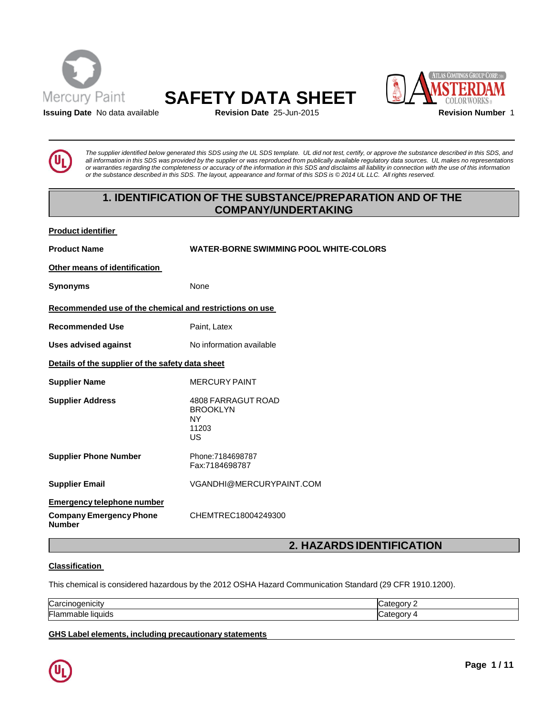





**Issuing Date** No data available **Revision Date** 25-Jun-2015 **Revision Number** 1

The supplier identified below generated this SDS using the UL SDS template. UL did not test, certify, or approve the substance described in this SDS, and all information in this SDS was provided by the supplier or was reproduced from publically available regulatory data sources. UL makes no representations or warranties regarding the completeness or accuracy of the information in this SDS and disclaims all liability in connection with the use of this information or the substance described in this SDS. The layout, appearance and format of this SDS is @2014 UL LLC. All rights reserved.

# **1. IDENTIFICATION OF THE SUBSTANCE/PREPARATION AND OF THE COMPANY/UNDERTAKING**

**Product identifier**

**Product Name WATER-BORNE SWIMMING POOL WHITE-COLORS Other means of identification Synonyms** None **Recommended use of the chemical and restrictions on use Recommended Use** Paint, Latex **Uses advised against** No information available **Details of the supplier of the safety data sheet Supplier Name** MERCURY PAINT **Supplier Address** 4808 FARRAGUT ROAD BROOKLYN NY 11203 US **Supplier Phone Number** Phone:7184698787 Fax:7184698787 **Supplier Email** [VGANDHI@MERCURYPAINT.COM](mailto:VGANDHI@MERCURYPAINT.COM) **Emergency telephone number Company Emergency Phone Number** CHEMTREC18004249300

# **2. HAZARDSIDENTIFICATION**

# **Classification**

This chemical is considered hazardous by the 2012 OSHA Hazard Communication Standard (29 CFR 1910.1200).

| Carc                                  | ∩∩rv     |
|---------------------------------------|----------|
| unoaenicity                           |          |
| −<br><b>Tiquids</b><br>⊩lamr<br>nable | <br>າດາກ |

**GHS Label elements, including precautionary statements**

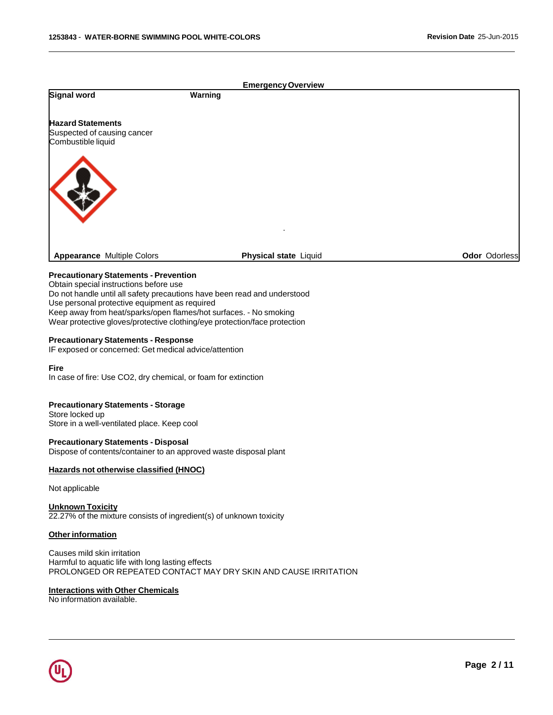# **Signal word Warning EmergencyOverview Hazard Statements** Suspected of causing cancer Combustible liquid . **Appearance** Multiple Colors **Physical state** Liquid **Coloration Color** Odorless **Odor** Odorless

# **Precautionary Statements - Prevention**

Obtain special instructions before use Do not handle until all safety precautions have been read and understood Use personal protective equipment as required Keep away from heat/sparks/open flames/hot surfaces. - No smoking Wear protective gloves/protective clothing/eye protection/face protection

#### **Precautionary Statements - Response**

IF exposed or concerned: Get medical advice/attention

#### **Fire**

In case of fire: Use CO2, dry chemical, or foam for extinction

# **Precautionary Statements - Storage**

Store locked up Store in a well-ventilated place. Keep cool

#### **Precautionary Statements - Disposal**

Dispose of contents/container to an approved waste disposal plant

#### **Hazards not otherwise classified (HNOC)**

#### Not applicable

#### **Unknown Toxicity** 22.27% of the mixture consists of ingredient(s) of unknown toxicity

#### **Other information**

Causes mild skin irritation Harmful to aquatic life with long lasting effects PROLONGED OR REPEATED CONTACT MAY DRY SKIN AND CAUSE IRRITATION

#### **Interactions with Other Chemicals**

No information available.

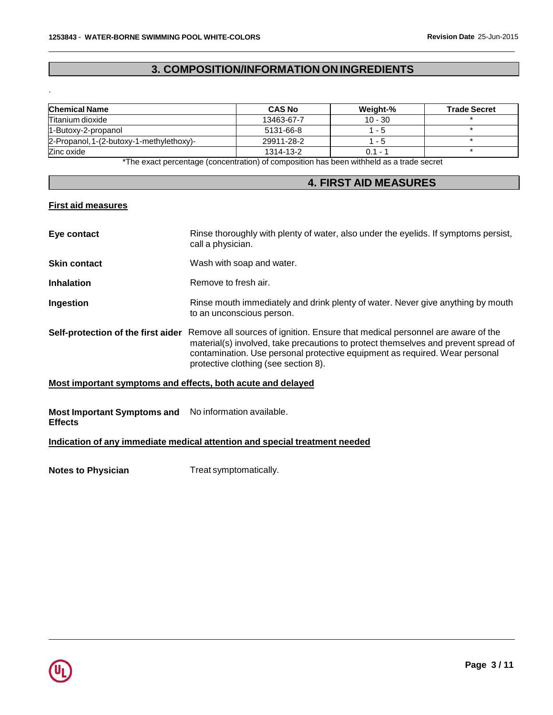# **3. COMPOSITION/INFORMATION ON INGREDIENTS**

| <b>Chemical Name</b>                     | <b>CAS No</b> | Weight-%  | <b>Trade Secret</b> |
|------------------------------------------|---------------|-----------|---------------------|
| Titanium dioxide                         | 13463-67-7    | $10 - 30$ |                     |
| 1-Butoxy-2-propanol                      | 5131-66-8     | 1 - 5     |                     |
| 2-Propanol, 1-(2-butoxy-1-methylethoxy)- | 29911-28-2    | 1 - 5     |                     |
| Zinc oxide                               | 1314-13-2     | $0.1 - ?$ |                     |

\*The exact percentage (concentration) of composition has been withheld as a trade secret

# **4. FIRST AID MEASURES**

# **First aid measures**

.

| Eye contact                                                 | Rinse thoroughly with plenty of water, also under the eyelids. If symptoms persist,<br>call a physician.                                                                                                                                                                                    |
|-------------------------------------------------------------|---------------------------------------------------------------------------------------------------------------------------------------------------------------------------------------------------------------------------------------------------------------------------------------------|
| <b>Skin contact</b>                                         | Wash with soap and water.                                                                                                                                                                                                                                                                   |
| <b>Inhalation</b>                                           | Remove to fresh air.                                                                                                                                                                                                                                                                        |
| Ingestion                                                   | Rinse mouth immediately and drink plenty of water. Never give anything by mouth<br>to an unconscious person.                                                                                                                                                                                |
| Self-protection of the first aider                          | Remove all sources of ignition. Ensure that medical personnel are aware of the<br>material(s) involved, take precautions to protect themselves and prevent spread of<br>contamination. Use personal protective equipment as required. Wear personal<br>protective clothing (see section 8). |
| Most important symptoms and effects, both acute and delayed |                                                                                                                                                                                                                                                                                             |

#### **Most Important Symptoms and** No information available. **Effects**

# **Indication of any immediate medical attention and special treatment needed**

**Notes to Physician** Treat symptomatically.

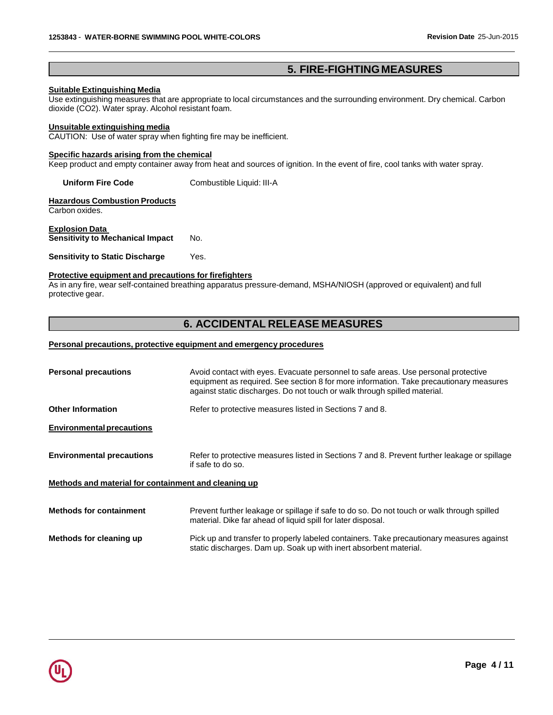# **5. FIRE-FIGHTING MEASURES**

# **Suitable Extinguishing Media**

Use extinguishing measures that are appropriate to local circumstances and the surrounding environment. Dry chemical. Carbon dioxide (CO2). Water spray. Alcohol resistant foam.

#### **Unsuitable extinguishing media**

CAUTION: Use of water spray when fighting fire may be inefficient.

# **Specific hazards arising from the chemical**

Keep product and empty container away from heat and sources of ignition. In the event of fire, cool tanks with water spray.

**Uniform Fire Code** Combustible Liquid: III-A

**Hazardous Combustion Products** Carbon oxides.

**Explosion Data Sensitivity to Mechanical Impact** No.

#### **Sensitivity to Static Discharge** Yes.

#### **Protective equipment and precautions for firefighters**

As in any fire, wear self-contained breathing apparatus pressure-demand, MSHA/NIOSH (approved or equivalent) and full protective gear.

# **6. ACCIDENTAL RELEASE MEASURES**

#### **Personal precautions, protective equipment and emergency procedures**

| <b>Personal precautions</b>                          | Avoid contact with eyes. Evacuate personnel to safe areas. Use personal protective<br>equipment as required. See section 8 for more information. Take precautionary measures<br>against static discharges. Do not touch or walk through spilled material. |
|------------------------------------------------------|-----------------------------------------------------------------------------------------------------------------------------------------------------------------------------------------------------------------------------------------------------------|
| <b>Other Information</b>                             | Refer to protective measures listed in Sections 7 and 8.                                                                                                                                                                                                  |
| <b>Environmental precautions</b>                     |                                                                                                                                                                                                                                                           |
| <b>Environmental precautions</b>                     | Refer to protective measures listed in Sections 7 and 8. Prevent further leakage or spillage<br>if safe to do so.                                                                                                                                         |
| Methods and material for containment and cleaning up |                                                                                                                                                                                                                                                           |
| <b>Methods for containment</b>                       | Prevent further leakage or spillage if safe to do so. Do not touch or walk through spilled<br>material. Dike far ahead of liquid spill for later disposal.                                                                                                |
| Methods for cleaning up                              | Pick up and transfer to properly labeled containers. Take precautionary measures against<br>static discharges. Dam up. Soak up with inert absorbent material.                                                                                             |

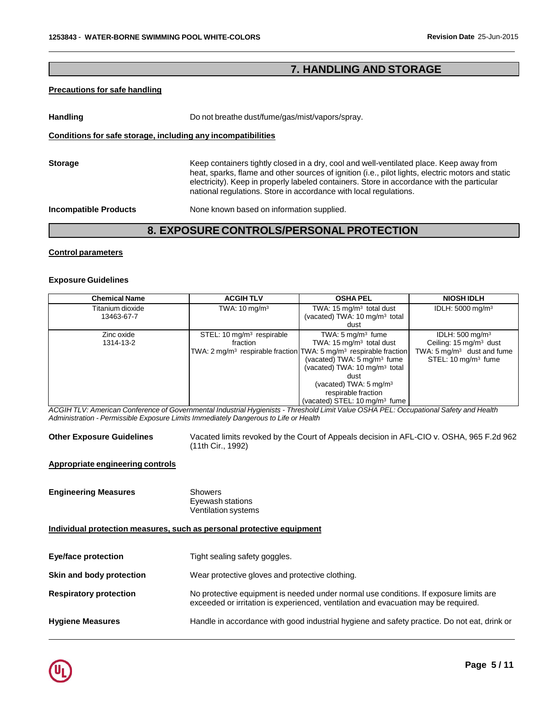# **7. HANDLING AND STORAGE**

## **Precautions for safe handling**

Handling **Handling** Do not breathe dust/fume/gas/mist/vapors/spray.

## **Conditions for safe storage, including any incompatibilities**

| <b>Storage</b> | Keep containers tightly closed in a dry, cool and well-ventilated place. Keep away from<br>heat, sparks, flame and other sources of ignition (i.e., pilot lights, electric motors and static<br>electricity). Keep in properly labeled containers. Store in accordance with the particular<br>national regulations. Store in accordance with local regulations. |
|----------------|-----------------------------------------------------------------------------------------------------------------------------------------------------------------------------------------------------------------------------------------------------------------------------------------------------------------------------------------------------------------|
|                |                                                                                                                                                                                                                                                                                                                                                                 |

**Incompatible Products** None known based on information supplied.

# **8. EXPOSURE CONTROLS/PERSONALPROTECTION**

#### **Control parameters**

#### **Exposure Guidelines**

| <b>Chemical Name</b> | <b>ACGIHTLV</b>                       | <b>OSHA PEL</b>                                                                           | <b>NIOSH IDLH</b>                     |
|----------------------|---------------------------------------|-------------------------------------------------------------------------------------------|---------------------------------------|
| Titanium dioxide     | TWA: $10 \text{ mg/m}^3$              | TWA: $15 \text{ mg/m}^3$ total dust                                                       | IDLH: $5000 \text{ mg/m}^3$           |
| 13463-67-7           |                                       | (vacated) TWA: $10 \text{ mg/m}^3$ total                                                  |                                       |
|                      |                                       | dust                                                                                      |                                       |
| Zinc oxide           | STEL: 10 mg/m <sup>3</sup> respirable | TWA: $5 \text{ mg/m}^3$ fume                                                              | IDLH: $500 \text{ mg/m}^3$            |
| 1314-13-2            | fraction                              | TWA: 15 mg/m <sup>3</sup> total dust                                                      | Ceiling: 15 mg/m <sup>3</sup> dust    |
|                      |                                       | TWA: 2 mg/m <sup>3</sup> respirable fraction TWA: 5 mg/m <sup>3</sup> respirable fraction | TWA: $5 \text{ mg/m}^3$ dust and fume |
|                      |                                       | (vacated) TWA: $5 \text{ mg/m}^3$ fume                                                    | STEL: 10 mg/m <sup>3</sup> fume       |
|                      |                                       | (vacated) TWA: 10 mg/m <sup>3</sup> total                                                 |                                       |
|                      |                                       | dust                                                                                      |                                       |
|                      |                                       | (vacated) TWA: $5 \text{ mg/m}^3$                                                         |                                       |
|                      |                                       | respirable fraction                                                                       |                                       |
|                      |                                       | (vacated) STEL: 10 mg/m <sup>3</sup> fume                                                 |                                       |

ACGIH TLV: American Conference of Governmental Industrial Hygienists - Threshold Limit Value OSHA PEL: Occupational Safety and Health *Administration - Permissible Exposure Limits Immediately Dangerous to Life or Health*

**Other Exposure Guidelines** Vacated limits revoked by the Court of Appeals decision in AFL-CIO v. OSHA, 965 F.2d 962 (11th Cir., 1992)

## **Appropriate engineering controls**

**Engineering Measures** Showers

Eyewash stations Ventilation systems

## **Individual protection measures, such as personal protective equipment**

| <b>Eye/face protection</b>    | Tight sealing safety goggles.                                                                                                                                               |
|-------------------------------|-----------------------------------------------------------------------------------------------------------------------------------------------------------------------------|
| Skin and body protection      | Wear protective gloves and protective clothing.                                                                                                                             |
| <b>Respiratory protection</b> | No protective equipment is needed under normal use conditions. If exposure limits are<br>exceeded or irritation is experienced, ventilation and evacuation may be required. |
| <b>Hygiene Measures</b>       | Handle in accordance with good industrial hygiene and safety practice. Do not eat, drink or                                                                                 |

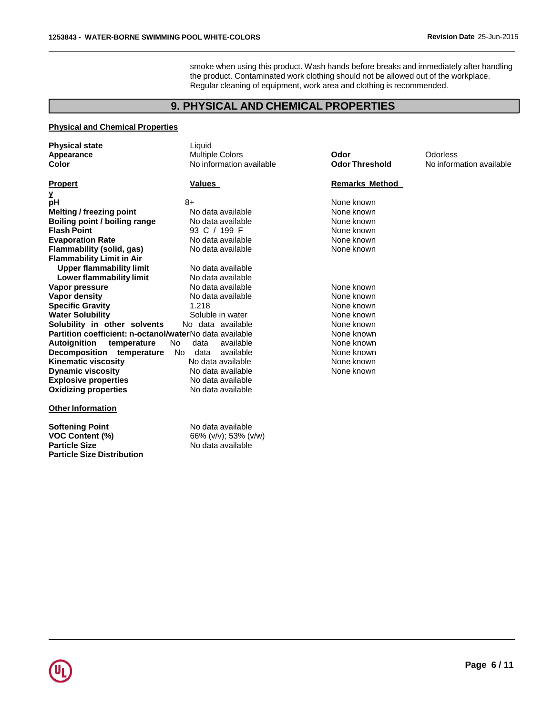smoke when using this product. Wash hands before breaks and immediately after handling the product. Contaminated work clothing should not be allowed out of the workplace. Regular cleaning of equipment, work area and clothing is recommended.

# **9. PHYSICAL AND CHEMICAL PROPERTIES**

# **Physical and Chemical Properties**

| <b>Physical state</b>                                   | Liquid                   |                       |                          |
|---------------------------------------------------------|--------------------------|-----------------------|--------------------------|
| Appearance                                              | <b>Multiple Colors</b>   | Odor                  | Odorless                 |
| Color                                                   | No information available | <b>Odor Threshold</b> | No information available |
| <b>Propert</b>                                          | Values                   | <b>Remarks Method</b> |                          |
| y                                                       |                          |                       |                          |
| рH                                                      | 8+                       | None known            |                          |
| <b>Melting / freezing point</b>                         | No data available        | None known            |                          |
| Boiling point / boiling range                           | No data available        | None known            |                          |
| <b>Flash Point</b>                                      | 93 C / 199 F             | None known            |                          |
| <b>Evaporation Rate</b>                                 | No data available        | None known            |                          |
| Flammability (solid, gas)                               | No data available        | None known            |                          |
| <b>Flammability Limit in Air</b>                        |                          |                       |                          |
| <b>Upper flammability limit</b>                         | No data available        |                       |                          |
| Lower flammability limit                                | No data available        |                       |                          |
| Vapor pressure                                          | No data available        | None known            |                          |
| Vapor density                                           | No data available        | None known            |                          |
| <b>Specific Gravity</b>                                 | 1.218                    | None known            |                          |
| <b>Water Solubility</b>                                 | Soluble in water         | None known            |                          |
| Solubility in other solvents                            | No data available        | None known            |                          |
| Partition coefficient: n-octanol/waterNo data available |                          | None known            |                          |
| Autoignition temperature                                | available<br>No.<br>data | None known            |                          |
| Decomposition temperature                               | available<br>No.<br>data | None known            |                          |
| <b>Kinematic viscosity</b>                              | No data available        | None known            |                          |
| <b>Dynamic viscosity</b>                                | No data available        | None known            |                          |
| <b>Explosive properties</b>                             | No data available        |                       |                          |
| <b>Oxidizing properties</b>                             | No data available        |                       |                          |
| <b>Other Information</b>                                |                          |                       |                          |

| No data available    |
|----------------------|
| 66% (v/v); 53% (v/w) |
| No data available    |
|                      |
|                      |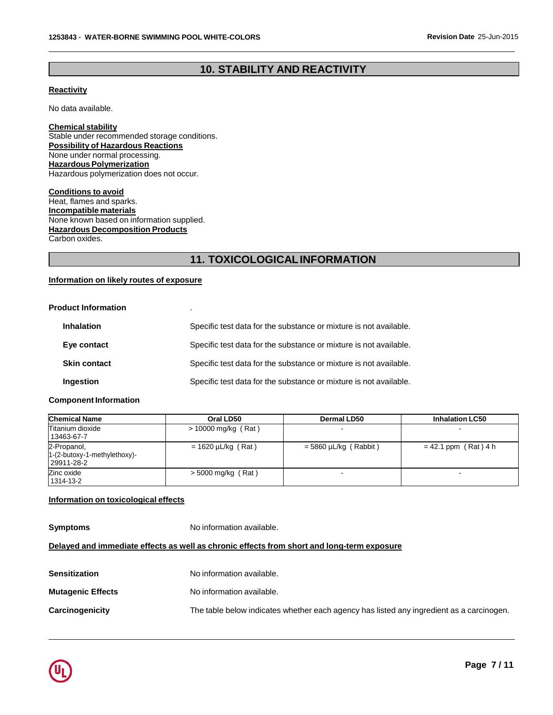# **10. STABILITY AND REACTIVITY**

# **Reactivity**

No data available.

**Chemical stability** Stable under recommended storage conditions. **Possibility of Hazardous Reactions** None under normal processing. **Hazardous Polymerization** Hazardous polymerization does not occur.

**Conditions to avoid** Heat, flames and sparks. **Incompatible materials** None known based on information supplied. **Hazardous Decomposition Products** Carbon oxides.

# **11. TOXICOLOGICALINFORMATION**

# **Information on likely routes of exposure**

## **Product Information** .

| <b>Inhalation</b>   | Specific test data for the substance or mixture is not available. |
|---------------------|-------------------------------------------------------------------|
| Eye contact         | Specific test data for the substance or mixture is not available. |
| <b>Skin contact</b> | Specific test data for the substance or mixture is not available. |
| <b>Ingestion</b>    | Specific test data for the substance or mixture is not available. |

#### **Component Information**

| <b>Chemical Name</b>                                          | Oral LD50               | Dermal LD50                | <b>Inhalation LC50</b> |
|---------------------------------------------------------------|-------------------------|----------------------------|------------------------|
| Titanium dioxide<br>13463-67-7                                | $> 10000$ mg/kg (Rat)   |                            |                        |
| 2-Propanol,<br>$1-(2-butoxy-1-methylethoxy)$ -<br>129911-28-2 | $= 1620 \mu L/kg$ (Rat) | $= 5860 \mu L/kg$ (Rabbit) | $= 42.1$ ppm (Rat) 4 h |
| Zinc oxide<br>1314-13-2                                       | $>$ 5000 mg/kg (Rat)    |                            |                        |

## **Information on toxicological effects**

**Symptoms** No information available.

# **Delayed and immediate effects as well as chronic effects from short and long-term exposure**

| Sensitization            | No information available.                                                                |
|--------------------------|------------------------------------------------------------------------------------------|
| <b>Mutagenic Effects</b> | No information available.                                                                |
| Carcinogenicity          | The table below indicates whether each agency has listed any ingredient as a carcinogen. |

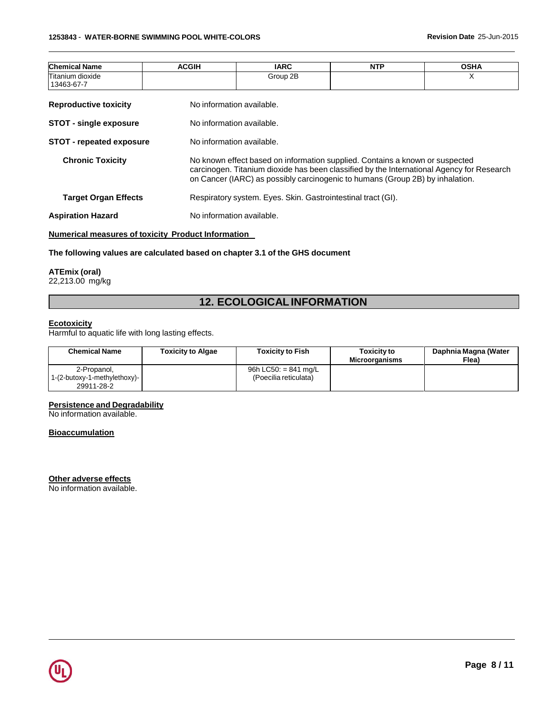| <b>Chemical Name</b>            | <b>ACGIH</b>              | <b>IARC</b>                                                                                                                                                                                                                                                | <b>NTP</b> | <b>OSHA</b> |  |  |
|---------------------------------|---------------------------|------------------------------------------------------------------------------------------------------------------------------------------------------------------------------------------------------------------------------------------------------------|------------|-------------|--|--|
| Titanium dioxide<br>13463-67-7  |                           | Group 2B                                                                                                                                                                                                                                                   |            | X           |  |  |
| <b>Reproductive toxicity</b>    | No information available. |                                                                                                                                                                                                                                                            |            |             |  |  |
| <b>STOT - single exposure</b>   |                           | No information available.                                                                                                                                                                                                                                  |            |             |  |  |
| <b>STOT - repeated exposure</b> |                           | No information available.                                                                                                                                                                                                                                  |            |             |  |  |
| <b>Chronic Toxicity</b>         |                           | No known effect based on information supplied. Contains a known or suspected<br>carcinogen. Titanium dioxide has been classified by the International Agency for Research<br>on Cancer (IARC) as possibly carcinogenic to humans (Group 2B) by inhalation. |            |             |  |  |
| <b>Target Organ Effects</b>     |                           | Respiratory system. Eyes. Skin. Gastrointestinal tract (GI).                                                                                                                                                                                               |            |             |  |  |
| <b>Aspiration Hazard</b>        | No information available. |                                                                                                                                                                                                                                                            |            |             |  |  |

# **Numerical measures of toxicity Product Information**

# **The following values are calculated based on chapter 3.1 of the GHS document**

#### **ATEmix (oral)**

22,213.00 mg/kg

# **12. ECOLOGICALINFORMATION**

#### **Ecotoxicity**

Harmful to aquatic life with long lasting effects.

| <b>Chemical Name</b>                                      | <b>Toxicity to Algae</b> | <b>Toxicity to Fish</b>                         | <b>Toxicity to</b><br><b>Microorganisms</b> | Daphnia Magna (Water<br>Flea) |
|-----------------------------------------------------------|--------------------------|-------------------------------------------------|---------------------------------------------|-------------------------------|
| 2-Propanol,<br>1-(2-butoxy-1-methylethoxy)-<br>29911-28-2 |                          | 96h LC50: $= 841$ mg/L<br>(Poecilia reticulata) |                                             |                               |

#### **Persistence and Degradability**

No information available.

## **Bioaccumulation**

**Other adverse effects**

No information available.

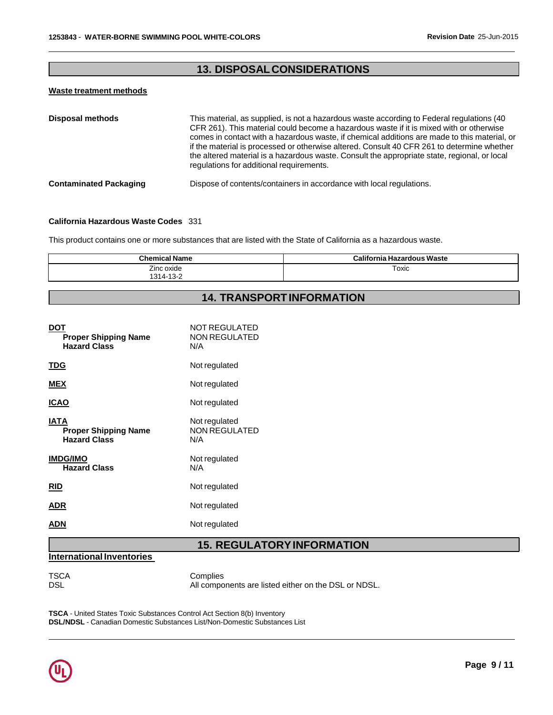# **13. DISPOSALCONSIDERATIONS**

## **Waste treatment methods**

| <b>Disposal methods</b>       | This material, as supplied, is not a hazardous waste according to Federal regulations (40<br>CFR 261). This material could become a hazardous waste if it is mixed with or otherwise<br>comes in contact with a hazardous waste, if chemical additions are made to this material, or<br>if the material is processed or otherwise altered. Consult 40 CFR 261 to determine whether<br>the altered material is a hazardous waste. Consult the appropriate state, regional, or local<br>regulations for additional requirements. |
|-------------------------------|--------------------------------------------------------------------------------------------------------------------------------------------------------------------------------------------------------------------------------------------------------------------------------------------------------------------------------------------------------------------------------------------------------------------------------------------------------------------------------------------------------------------------------|
| <b>Contaminated Packaging</b> | Dispose of contents/containers in accordance with local regulations.                                                                                                                                                                                                                                                                                                                                                                                                                                                           |

#### **California Hazardous Waste Codes** 331

This product contains one or more substances that are listed with the State of California as a hazardous waste.

| <b>Chemical Name</b>    | <b>California Hazardous Waste</b> |
|-------------------------|-----------------------------------|
| Zinc oxide<br>1314-13-2 | Toxic                             |

# **14. TRANSPORTINFORMATION**

| DOT<br><b>Proper Shipping Name</b><br><b>Hazard Class</b>  | NOT REGULATED<br><b>NON REGULATED</b><br>N/A |
|------------------------------------------------------------|----------------------------------------------|
| TDG                                                        | Not regulated                                |
| <b>MEX</b>                                                 | Not regulated                                |
| ICAO                                                       | Not regulated                                |
| IATA<br><b>Proper Shipping Name</b><br><b>Hazard Class</b> | Not regulated<br><b>NON REGULATED</b><br>N/A |
| <b>IMDG/IMO</b><br><b>Hazard Class</b>                     | Not regulated<br>N/A                         |
| <b>RID</b>                                                 | Not regulated                                |
| ADR                                                        | Not regulated                                |
| ADN                                                        | Not regulated                                |
|                                                            |                                              |

# **15. REGULATORYINFORMATION**

# **International Inventories**

TSCA Complies<br>DSL Mill compo All components are listed either on the DSL or NDSL.

**TSCA** - United States Toxic Substances Control Act Section 8(b) Inventory **DSL/NDSL** - Canadian Domestic Substances List/Non-Domestic Substances List

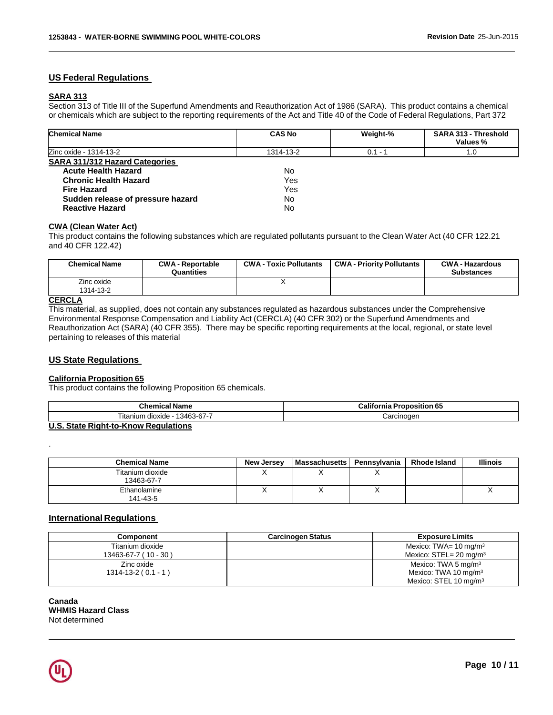# **US Federal Regulations**

# **SARA 313**

Section 313 of Title III of the Superfund Amendments and Reauthorization Act of 1986 (SARA). This product contains a chemical or chemicals which are subject to the reporting requirements of the Act and Title 40 of the Code of Federal Regulations, Part 372

| <b>Chemical Name</b>                  | <b>CAS No</b> | Weight-%  | <b>SARA 313 - Threshold</b><br>Values % |
|---------------------------------------|---------------|-----------|-----------------------------------------|
| Zinc oxide - 1314-13-2                | 1314-13-2     | $0.1 - 1$ | 1.0                                     |
| <b>SARA 311/312 Hazard Categories</b> |               |           |                                         |
| <b>Acute Health Hazard</b>            | No            |           |                                         |
| <b>Chronic Health Hazard</b>          | Yes           |           |                                         |
| <b>Fire Hazard</b>                    | Yes           |           |                                         |
| Sudden release of pressure hazard     | No            |           |                                         |
| <b>Reactive Hazard</b>                | No            |           |                                         |

## **CWA (Clean Water Act)**

This product contains the following substances which are regulated pollutants pursuant to the Clean Water Act (40 CFR 122.21 and 40 CFR 122.42)

| <b>Chemical Name</b>    | <b>CWA - Reportable</b><br>Quantities | <b>CWA - Toxic Pollutants</b> | <b>CWA - Priority Pollutants</b> | <b>CWA - Hazardous</b><br><b>Substances</b> |
|-------------------------|---------------------------------------|-------------------------------|----------------------------------|---------------------------------------------|
| Zinc oxide<br>1314-13-2 |                                       |                               |                                  |                                             |
| $\cdots$                |                                       |                               |                                  |                                             |

# **CERCLA**

.

This material, as supplied, does not contain any substances regulated as hazardous substances under the Comprehensive Environmental Response Compensation and Liability Act (CERCLA) (40 CFR 302) or the Superfund Amendments and Reauthorization Act (SARA) (40 CFR 355). There may be specific reporting requirements at the local, regional, or state level pertaining to releases of this material

## **US State Regulations**

#### **California Proposition 65**

This product contains the following Proposition 65 chemicals.

| <b>Chemical Name</b>                           | <br>$\mathbf{r}$<br>California<br><b>Proposition 65</b> |
|------------------------------------------------|---------------------------------------------------------|
| ļ<br>.<br>13463-67-7<br>- dioxide<br>itanium   | ∶arcınoqen                                              |
| <b>ILO OLIL BLILLE L. IZirani Basintallana</b> |                                                         |

**U.S. State Right-to-Know Regulations**

| <b>Chemical Name</b>           | New Jersey | <b>Massachusetts</b> | Pennsvlvania | <b>Rhode Island</b> | <b>Illinois</b> |
|--------------------------------|------------|----------------------|--------------|---------------------|-----------------|
| Titanium dioxide<br>13463-67-7 |            |                      |              |                     |                 |
| Ethanolamine<br>141-43-5       |            |                      |              |                     |                 |

## **International Regulations**

| Component                  | <b>Carcinogen Status</b> | <b>Exposure Limits</b>                |
|----------------------------|--------------------------|---------------------------------------|
| Titanium dioxide           |                          | Mexico: TWA= $10 \text{ mg/m}^3$      |
| $13463 - 67 - 7 (10 - 30)$ |                          | Mexico: $STEL = 20$ mg/m <sup>3</sup> |
| Zinc oxide                 |                          | Mexico: TWA 5 mg/m $3$                |
| $1314 - 13 - 2(0.1 - 1)$   |                          | Mexico: TWA 10 mg/m $3$               |
|                            |                          | Mexico: STEL 10 mg/m <sup>3</sup>     |

**Canada WHMIS Hazard Class** Not determined